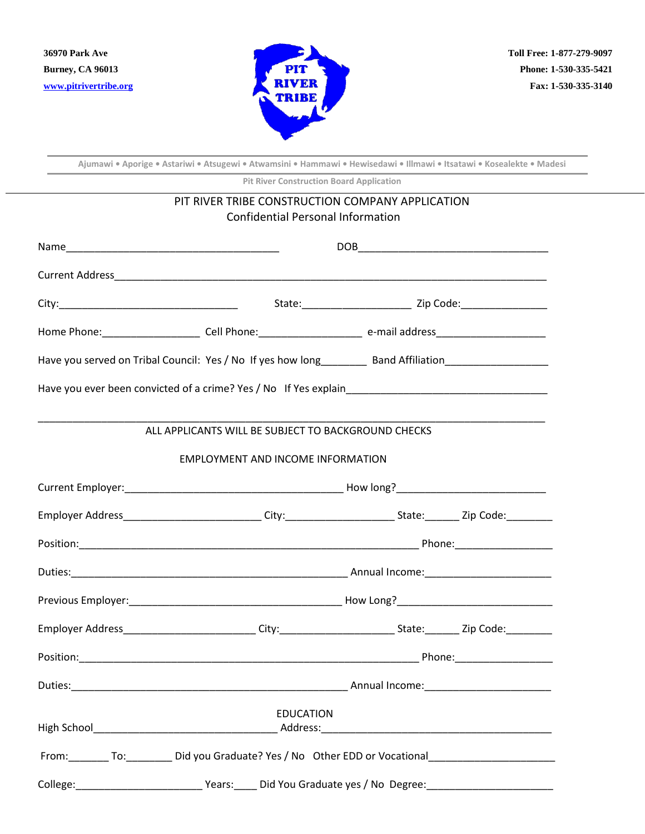

**Ajumawi • Aporige • Astariwi • Atsugewi • Atwamsini • Hammawi • Hewisedawi • Illmawi • Itsatawi • Kosealekte • Madesi**

**Pit River Construction Board Application**

| <b>Confidential Personal Information</b>                                                                       |                                                                                                                      |  |  |
|----------------------------------------------------------------------------------------------------------------|----------------------------------------------------------------------------------------------------------------------|--|--|
|                                                                                                                |                                                                                                                      |  |  |
|                                                                                                                |                                                                                                                      |  |  |
|                                                                                                                |                                                                                                                      |  |  |
|                                                                                                                | Home Phone:____________________________Cell Phone:______________________________ e-mail address_____________________ |  |  |
|                                                                                                                |                                                                                                                      |  |  |
|                                                                                                                |                                                                                                                      |  |  |
| ALL APPLICANTS WILL BE SUBJECT TO BACKGROUND CHECKS                                                            |                                                                                                                      |  |  |
| <b>EMPLOYMENT AND INCOME INFORMATION</b>                                                                       |                                                                                                                      |  |  |
|                                                                                                                |                                                                                                                      |  |  |
| Employer Address_____________________________City:_________________________State:_________Zip Code:__________  |                                                                                                                      |  |  |
|                                                                                                                |                                                                                                                      |  |  |
|                                                                                                                |                                                                                                                      |  |  |
|                                                                                                                |                                                                                                                      |  |  |
| Employer Address____________________________City:___________________________State:_________Zip Code:__________ |                                                                                                                      |  |  |
|                                                                                                                |                                                                                                                      |  |  |
|                                                                                                                |                                                                                                                      |  |  |
| <b>EDUCATION</b>                                                                                               |                                                                                                                      |  |  |
| From: To: To: Did you Graduate? Yes / No Other EDD or Vocational ________________                              |                                                                                                                      |  |  |
|                                                                                                                |                                                                                                                      |  |  |